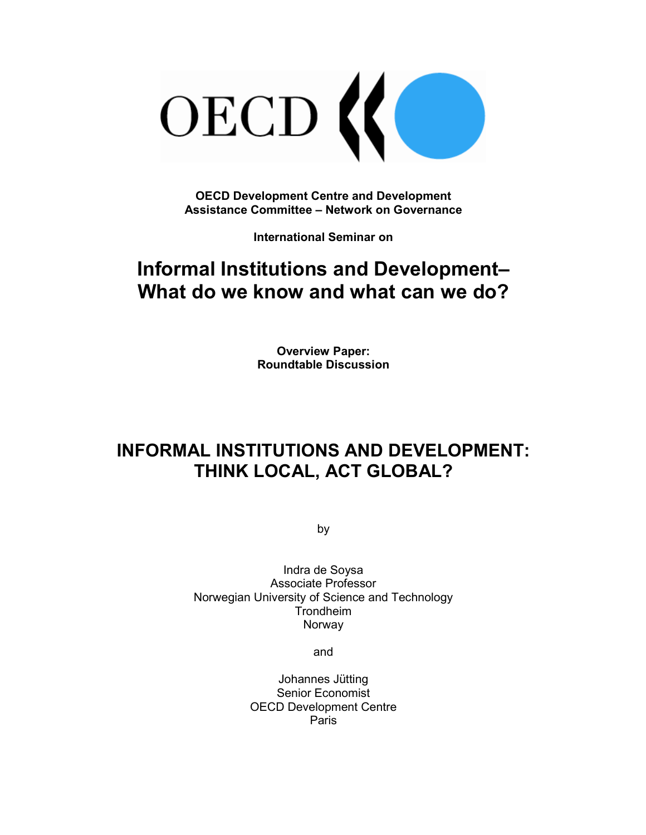

**OECD Development Centre and Development Assistance Committee – Network on Governance** 

**International Seminar on** 

# **Informal Institutions and Development– What do we know and what can we do?**

**Overview Paper: Roundtable Discussion** 

# **INFORMAL INSTITUTIONS AND DEVELOPMENT: THINK LOCAL, ACT GLOBAL?**

by

Indra de Soysa Associate Professor Norwegian University of Science and Technology Trondheim Norway

and

Johannes Jütting Senior Economist OECD Development Centre Paris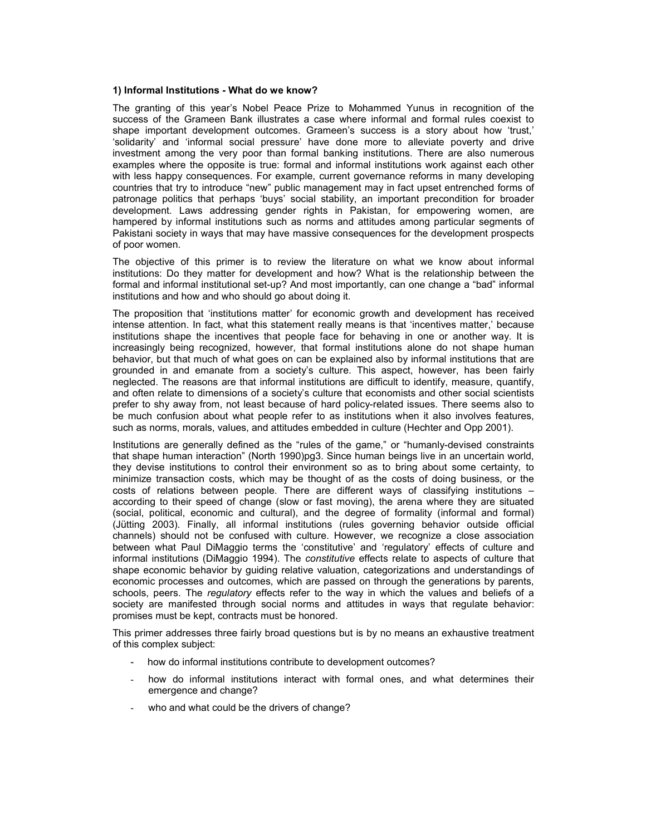#### **1) Informal Institutions - What do we know?**

The granting of this year's Nobel Peace Prize to Mohammed Yunus in recognition of the success of the Grameen Bank illustrates a case where informal and formal rules coexist to shape important development outcomes. Grameen's success is a story about how 'trust,' 'solidarity' and 'informal social pressure' have done more to alleviate poverty and drive investment among the very poor than formal banking institutions. There are also numerous examples where the opposite is true: formal and informal institutions work against each other with less happy consequences. For example, current governance reforms in many developing countries that try to introduce "new" public management may in fact upset entrenched forms of patronage politics that perhaps 'buys' social stability, an important precondition for broader development. Laws addressing gender rights in Pakistan, for empowering women, are hampered by informal institutions such as norms and attitudes among particular segments of Pakistani society in ways that may have massive consequences for the development prospects of poor women.

The objective of this primer is to review the literature on what we know about informal institutions: Do they matter for development and how? What is the relationship between the formal and informal institutional set-up? And most importantly, can one change a "bad" informal institutions and how and who should go about doing it.

The proposition that 'institutions matter' for economic growth and development has received intense attention. In fact, what this statement really means is that 'incentives matter,' because institutions shape the incentives that people face for behaving in one or another way. It is increasingly being recognized, however, that formal institutions alone do not shape human behavior, but that much of what goes on can be explained also by informal institutions that are grounded in and emanate from a society's culture. This aspect, however, has been fairly neglected. The reasons are that informal institutions are difficult to identify, measure, quantify, and often relate to dimensions of a society's culture that economists and other social scientists prefer to shy away from, not least because of hard policy-related issues. There seems also to be much confusion about what people refer to as institutions when it also involves features, such as norms, morals, values, and attitudes embedded in culture (Hechter and Opp 2001).

Institutions are generally defined as the "rules of the game," or "humanly-devised constraints that shape human interaction" (North 1990)pg3. Since human beings live in an uncertain world, they devise institutions to control their environment so as to bring about some certainty, to minimize transaction costs, which may be thought of as the costs of doing business, or the costs of relations between people. There are different ways of classifying institutions – according to their speed of change (slow or fast moving), the arena where they are situated (social, political, economic and cultural), and the degree of formality (informal and formal) (Jütting 2003). Finally, all informal institutions (rules governing behavior outside official channels) should not be confused with culture. However, we recognize a close association between what Paul DiMaggio terms the 'constitutive' and 'regulatory' effects of culture and informal institutions (DiMaggio 1994). The *constitutive* effects relate to aspects of culture that shape economic behavior by guiding relative valuation, categorizations and understandings of economic processes and outcomes, which are passed on through the generations by parents, schools, peers. The *regulatory* effects refer to the way in which the values and beliefs of a society are manifested through social norms and attitudes in ways that regulate behavior: promises must be kept, contracts must be honored.

This primer addresses three fairly broad questions but is by no means an exhaustive treatment of this complex subject:

- how do informal institutions contribute to development outcomes?
- how do informal institutions interact with formal ones, and what determines their emergence and change?
- who and what could be the drivers of change?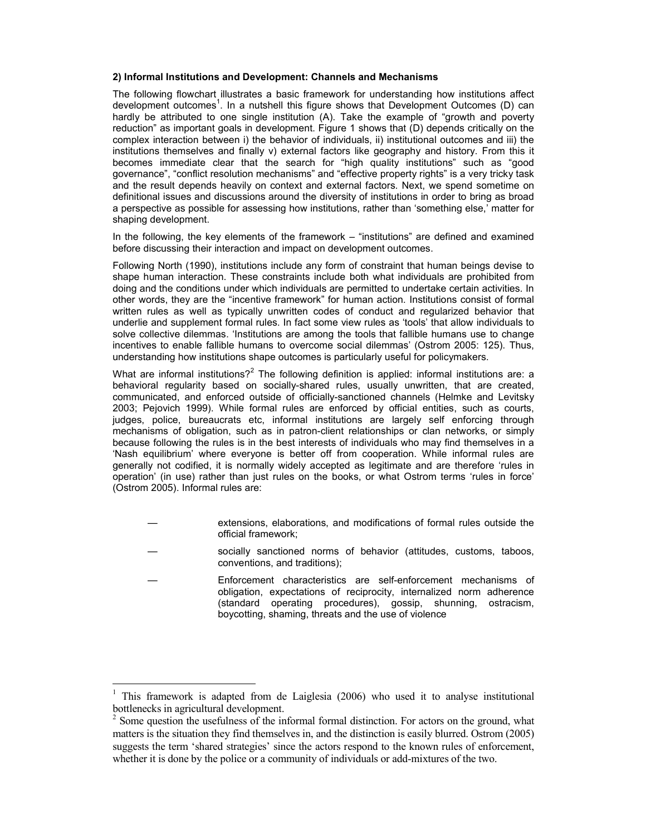#### **2) Informal Institutions and Development: Channels and Mechanisms**

The following flowchart illustrates a basic framework for understanding how institutions affect development outcomes<sup>1</sup>. In a nutshell this figure shows that Development Outcomes (D) can hardly be attributed to one single institution (A). Take the example of "growth and poverty reduction" as important goals in development. Figure 1 shows that (D) depends critically on the complex interaction between i) the behavior of individuals, ii) institutional outcomes and iii) the institutions themselves and finally v) external factors like geography and history. From this it becomes immediate clear that the search for "high quality institutions" such as "good governance", "conflict resolution mechanisms" and "effective property rights" is a very tricky task and the result depends heavily on context and external factors. Next, we spend sometime on definitional issues and discussions around the diversity of institutions in order to bring as broad a perspective as possible for assessing how institutions, rather than 'something else,' matter for shaping development.

In the following, the key elements of the framework – "institutions" are defined and examined before discussing their interaction and impact on development outcomes.

Following North (1990), institutions include any form of constraint that human beings devise to shape human interaction. These constraints include both what individuals are prohibited from doing and the conditions under which individuals are permitted to undertake certain activities. In other words, they are the "incentive framework" for human action. Institutions consist of formal written rules as well as typically unwritten codes of conduct and regularized behavior that underlie and supplement formal rules. In fact some view rules as 'tools' that allow individuals to solve collective dilemmas. 'Institutions are among the tools that fallible humans use to change incentives to enable fallible humans to overcome social dilemmas' (Ostrom 2005: 125). Thus, understanding how institutions shape outcomes is particularly useful for policymakers.

What are informal institutions?<sup>2</sup> The following definition is applied: informal institutions are: a behavioral regularity based on socially-shared rules, usually unwritten, that are created, communicated, and enforced outside of officially-sanctioned channels (Helmke and Levitsky 2003; Pejovich 1999). While formal rules are enforced by official entities, such as courts, judges, police, bureaucrats etc, informal institutions are largely self enforcing through mechanisms of obligation, such as in patron-client relationships or clan networks, or simply because following the rules is in the best interests of individuals who may find themselves in a 'Nash equilibrium' where everyone is better off from cooperation. While informal rules are generally not codified, it is normally widely accepted as legitimate and are therefore 'rules in operation' (in use) rather than just rules on the books, or what Ostrom terms 'rules in force' (Ostrom 2005). Informal rules are:

- extensions, elaborations, and modifications of formal rules outside the official framework;
- socially sanctioned norms of behavior (attitudes, customs, taboos, conventions, and traditions);
- Enforcement characteristics are self-enforcement mechanisms of obligation, expectations of reciprocity, internalized norm adherence (standard operating procedures), gossip, shunning, ostracism, boycotting, shaming, threats and the use of violence

-

<sup>&</sup>lt;sup>1</sup> This framework is adapted from de Laiglesia (2006) who used it to analyse institutional bottlenecks in agricultural development.

<sup>&</sup>lt;sup>2</sup> Some question the usefulness of the informal formal distinction. For actors on the ground, what matters is the situation they find themselves in, and the distinction is easily blurred. Ostrom (2005) suggests the term 'shared strategies' since the actors respond to the known rules of enforcement, whether it is done by the police or a community of individuals or add-mixtures of the two.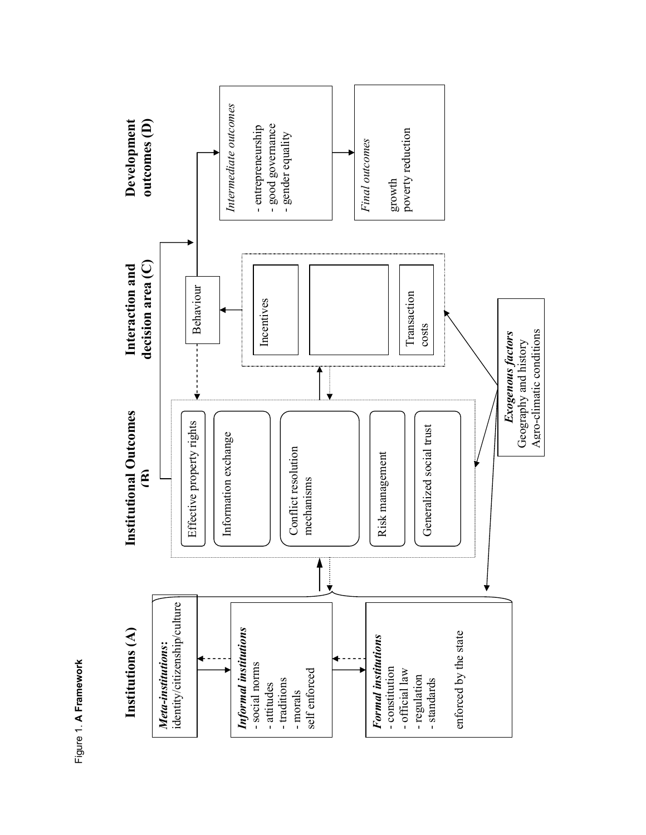

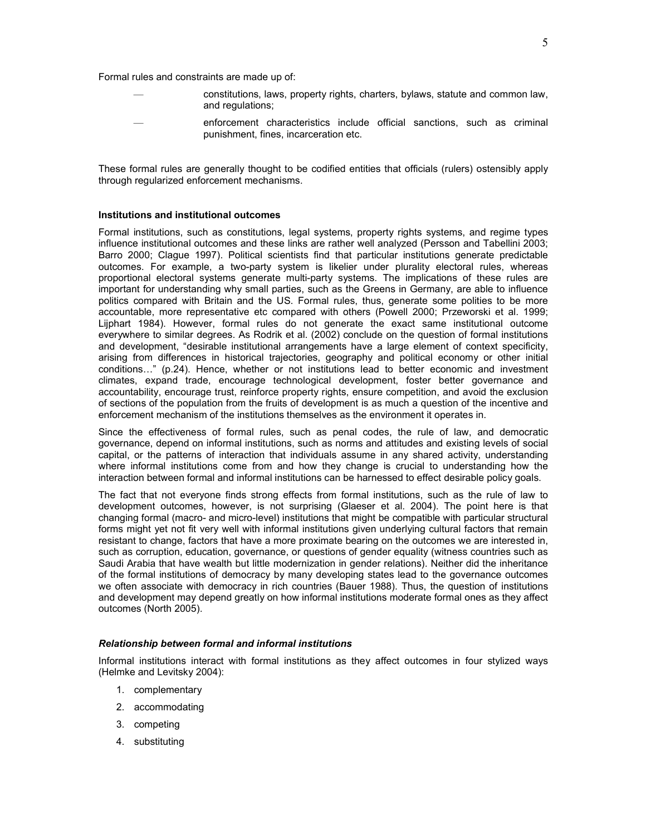Formal rules and constraints are made up of:

- constitutions, laws, property rights, charters, bylaws, statute and common law, and regulations;
	- enforcement characteristics include official sanctions, such as criminal punishment, fines, incarceration etc.

These formal rules are generally thought to be codified entities that officials (rulers) ostensibly apply through regularized enforcement mechanisms.

# **Institutions and institutional outcomes**

Formal institutions, such as constitutions, legal systems, property rights systems, and regime types influence institutional outcomes and these links are rather well analyzed (Persson and Tabellini 2003; Barro 2000; Clague 1997). Political scientists find that particular institutions generate predictable outcomes. For example, a two-party system is likelier under plurality electoral rules, whereas proportional electoral systems generate multi-party systems. The implications of these rules are important for understanding why small parties, such as the Greens in Germany, are able to influence politics compared with Britain and the US. Formal rules, thus, generate some polities to be more accountable, more representative etc compared with others (Powell 2000; Przeworski et al. 1999; Lijphart 1984). However, formal rules do not generate the exact same institutional outcome everywhere to similar degrees. As Rodrik et al. (2002) conclude on the question of formal institutions and development, "desirable institutional arrangements have a large element of context specificity, arising from differences in historical trajectories, geography and political economy or other initial conditions…" (p.24). Hence, whether or not institutions lead to better economic and investment climates, expand trade, encourage technological development, foster better governance and accountability, encourage trust, reinforce property rights, ensure competition, and avoid the exclusion of sections of the population from the fruits of development is as much a question of the incentive and enforcement mechanism of the institutions themselves as the environment it operates in.

Since the effectiveness of formal rules, such as penal codes, the rule of law, and democratic governance, depend on informal institutions, such as norms and attitudes and existing levels of social capital, or the patterns of interaction that individuals assume in any shared activity, understanding where informal institutions come from and how they change is crucial to understanding how the interaction between formal and informal institutions can be harnessed to effect desirable policy goals.

The fact that not everyone finds strong effects from formal institutions, such as the rule of law to development outcomes, however, is not surprising (Glaeser et al. 2004). The point here is that changing formal (macro- and micro-level) institutions that might be compatible with particular structural forms might yet not fit very well with informal institutions given underlying cultural factors that remain resistant to change, factors that have a more proximate bearing on the outcomes we are interested in, such as corruption, education, governance, or questions of gender equality (witness countries such as Saudi Arabia that have wealth but little modernization in gender relations). Neither did the inheritance of the formal institutions of democracy by many developing states lead to the governance outcomes we often associate with democracy in rich countries (Bauer 1988). Thus, the question of institutions and development may depend greatly on how informal institutions moderate formal ones as they affect outcomes (North 2005).

#### *Relationship between formal and informal institutions*

Informal institutions interact with formal institutions as they affect outcomes in four stylized ways (Helmke and Levitsky 2004):

- 1. complementary
- 2. accommodating
- 3. competing
- 4. substituting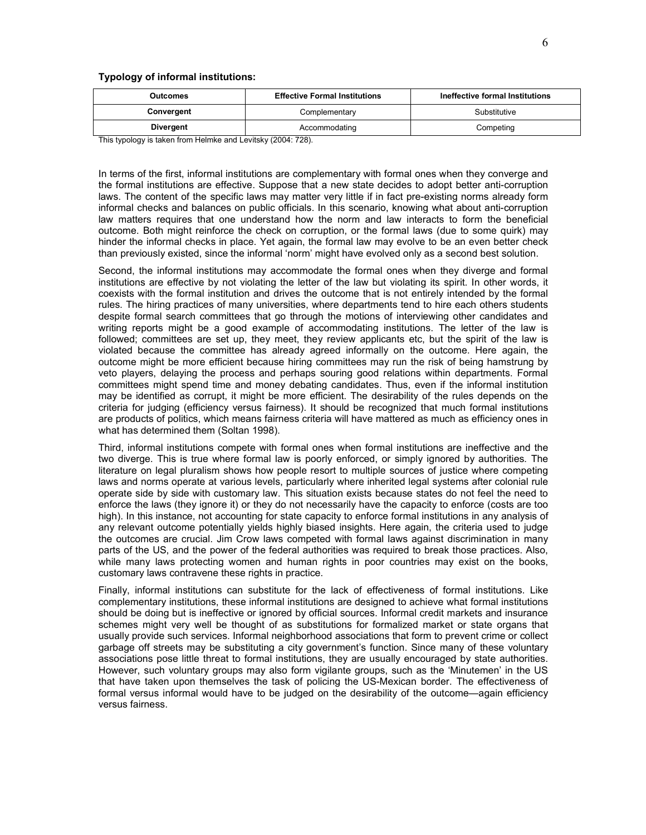#### **Typology of informal institutions:**

| <b>Outcomes</b> | <b>Effective Formal Institutions</b> | Ineffective formal Institutions |
|-----------------|--------------------------------------|---------------------------------|
| Convergent      | Complementary                        | Substitutive                    |
| Divergent       | Accommodating                        | Competing                       |

This typology is taken from Helmke and Levitsky (2004: 728).

In terms of the first, informal institutions are complementary with formal ones when they converge and the formal institutions are effective. Suppose that a new state decides to adopt better anti-corruption laws. The content of the specific laws may matter very little if in fact pre-existing norms already form informal checks and balances on public officials. In this scenario, knowing what about anti-corruption law matters requires that one understand how the norm and law interacts to form the beneficial outcome. Both might reinforce the check on corruption, or the formal laws (due to some quirk) may hinder the informal checks in place. Yet again, the formal law may evolve to be an even better check than previously existed, since the informal 'norm' might have evolved only as a second best solution.

Second, the informal institutions may accommodate the formal ones when they diverge and formal institutions are effective by not violating the letter of the law but violating its spirit. In other words, it coexists with the formal institution and drives the outcome that is not entirely intended by the formal rules. The hiring practices of many universities, where departments tend to hire each others students despite formal search committees that go through the motions of interviewing other candidates and writing reports might be a good example of accommodating institutions. The letter of the law is followed; committees are set up, they meet, they review applicants etc, but the spirit of the law is violated because the committee has already agreed informally on the outcome. Here again, the outcome might be more efficient because hiring committees may run the risk of being hamstrung by veto players, delaying the process and perhaps souring good relations within departments. Formal committees might spend time and money debating candidates. Thus, even if the informal institution may be identified as corrupt, it might be more efficient. The desirability of the rules depends on the criteria for judging (efficiency versus fairness). It should be recognized that much formal institutions are products of politics, which means fairness criteria will have mattered as much as efficiency ones in what has determined them (Soltan 1998).

Third, informal institutions compete with formal ones when formal institutions are ineffective and the two diverge. This is true where formal law is poorly enforced, or simply ignored by authorities. The literature on legal pluralism shows how people resort to multiple sources of justice where competing laws and norms operate at various levels, particularly where inherited legal systems after colonial rule operate side by side with customary law. This situation exists because states do not feel the need to enforce the laws (they ignore it) or they do not necessarily have the capacity to enforce (costs are too high). In this instance, not accounting for state capacity to enforce formal institutions in any analysis of any relevant outcome potentially yields highly biased insights. Here again, the criteria used to judge the outcomes are crucial. Jim Crow laws competed with formal laws against discrimination in many parts of the US, and the power of the federal authorities was required to break those practices. Also, while many laws protecting women and human rights in poor countries may exist on the books, customary laws contravene these rights in practice.

Finally, informal institutions can substitute for the lack of effectiveness of formal institutions. Like complementary institutions, these informal institutions are designed to achieve what formal institutions should be doing but is ineffective or ignored by official sources. Informal credit markets and insurance schemes might very well be thought of as substitutions for formalized market or state organs that usually provide such services. Informal neighborhood associations that form to prevent crime or collect garbage off streets may be substituting a city government's function. Since many of these voluntary associations pose little threat to formal institutions, they are usually encouraged by state authorities. However, such voluntary groups may also form vigilante groups, such as the 'Minutemen' in the US that have taken upon themselves the task of policing the US-Mexican border. The effectiveness of formal versus informal would have to be judged on the desirability of the outcome—again efficiency versus fairness.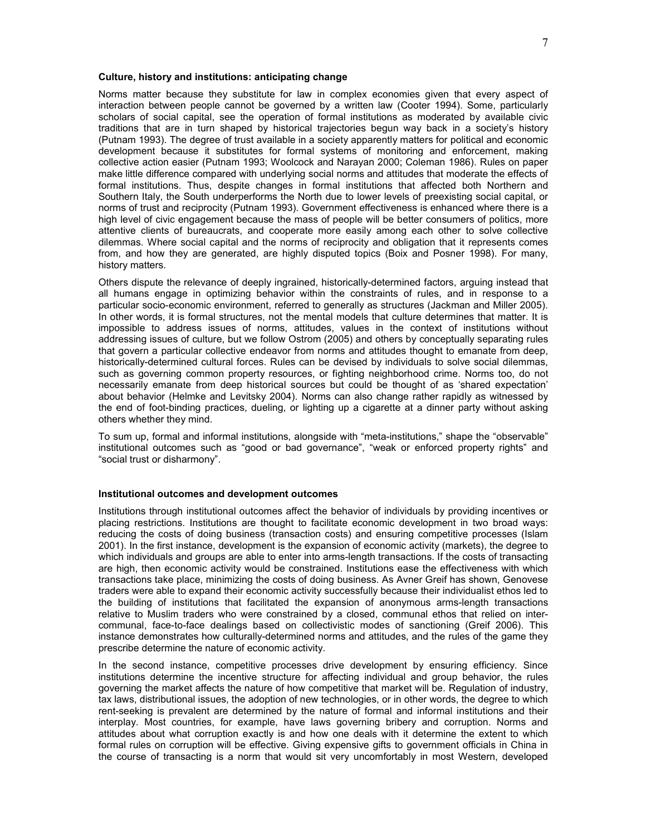#### **Culture, history and institutions: anticipating change**

Norms matter because they substitute for law in complex economies given that every aspect of interaction between people cannot be governed by a written law (Cooter 1994). Some, particularly scholars of social capital, see the operation of formal institutions as moderated by available civic traditions that are in turn shaped by historical trajectories begun way back in a society's history (Putnam 1993). The degree of trust available in a society apparently matters for political and economic development because it substitutes for formal systems of monitoring and enforcement, making collective action easier (Putnam 1993; Woolcock and Narayan 2000; Coleman 1986). Rules on paper make little difference compared with underlying social norms and attitudes that moderate the effects of formal institutions. Thus, despite changes in formal institutions that affected both Northern and Southern Italy, the South underperforms the North due to lower levels of preexisting social capital, or norms of trust and reciprocity (Putnam 1993). Government effectiveness is enhanced where there is a high level of civic engagement because the mass of people will be better consumers of politics, more attentive clients of bureaucrats, and cooperate more easily among each other to solve collective dilemmas. Where social capital and the norms of reciprocity and obligation that it represents comes from, and how they are generated, are highly disputed topics (Boix and Posner 1998). For many, history matters.

Others dispute the relevance of deeply ingrained, historically-determined factors, arguing instead that all humans engage in optimizing behavior within the constraints of rules, and in response to a particular socio-economic environment, referred to generally as structures (Jackman and Miller 2005). In other words, it is formal structures, not the mental models that culture determines that matter. It is impossible to address issues of norms, attitudes, values in the context of institutions without addressing issues of culture, but we follow Ostrom (2005) and others by conceptually separating rules that govern a particular collective endeavor from norms and attitudes thought to emanate from deep, historically-determined cultural forces. Rules can be devised by individuals to solve social dilemmas, such as governing common property resources, or fighting neighborhood crime. Norms too, do not necessarily emanate from deep historical sources but could be thought of as 'shared expectation' about behavior (Helmke and Levitsky 2004). Norms can also change rather rapidly as witnessed by the end of foot-binding practices, dueling, or lighting up a cigarette at a dinner party without asking others whether they mind.

To sum up, formal and informal institutions, alongside with "meta-institutions," shape the "observable" institutional outcomes such as "good or bad governance", "weak or enforced property rights" and "social trust or disharmony".

# **Institutional outcomes and development outcomes**

Institutions through institutional outcomes affect the behavior of individuals by providing incentives or placing restrictions. Institutions are thought to facilitate economic development in two broad ways: reducing the costs of doing business (transaction costs) and ensuring competitive processes (Islam 2001). In the first instance, development is the expansion of economic activity (markets), the degree to which individuals and groups are able to enter into arms-length transactions. If the costs of transacting are high, then economic activity would be constrained. Institutions ease the effectiveness with which transactions take place, minimizing the costs of doing business. As Avner Greif has shown, Genovese traders were able to expand their economic activity successfully because their individualist ethos led to the building of institutions that facilitated the expansion of anonymous arms-length transactions relative to Muslim traders who were constrained by a closed, communal ethos that relied on intercommunal, face-to-face dealings based on collectivistic modes of sanctioning (Greif 2006). This instance demonstrates how culturally-determined norms and attitudes, and the rules of the game they prescribe determine the nature of economic activity.

In the second instance, competitive processes drive development by ensuring efficiency. Since institutions determine the incentive structure for affecting individual and group behavior, the rules governing the market affects the nature of how competitive that market will be. Regulation of industry, tax laws, distributional issues, the adoption of new technologies, or in other words, the degree to which rent-seeking is prevalent are determined by the nature of formal and informal institutions and their interplay. Most countries, for example, have laws governing bribery and corruption. Norms and attitudes about what corruption exactly is and how one deals with it determine the extent to which formal rules on corruption will be effective. Giving expensive gifts to government officials in China in the course of transacting is a norm that would sit very uncomfortably in most Western, developed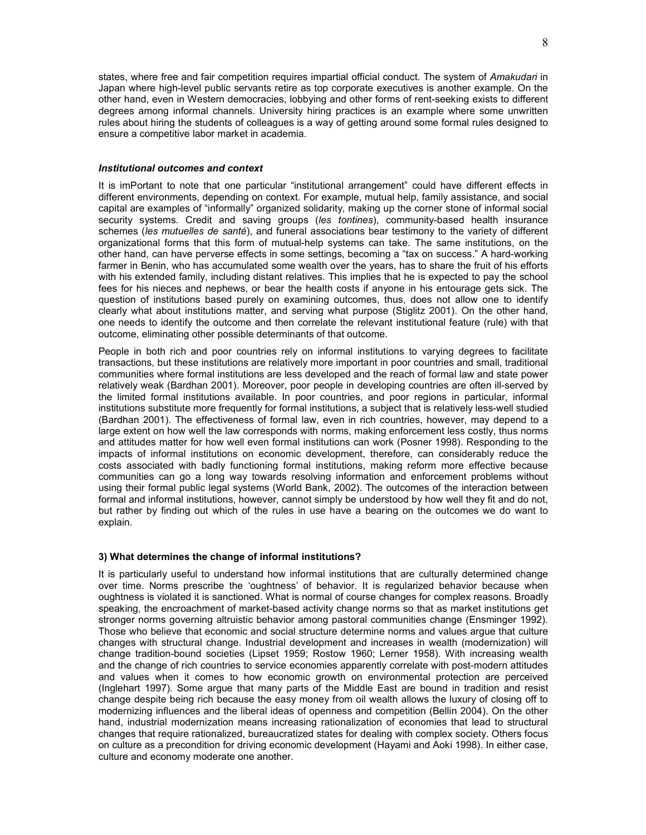states, where free and fair competition requires impartial official conduct. The system of *Amakudari* in Japan where high-level public servants retire as top corporate executives is another example. On the other hand, even in Western democracies, lobbying and other forms of rent-seeking exists to different degrees among informal channels. University hiring practices is an example where some unwritten rules about hiring the students of colleagues is a way of getting around some formal rules designed to ensure a competitive labor market in academia.

### *Institutional outcomes and context*

It is imPortant to note that one particular "institutional arrangement" could have different effects in different environments, depending on context. For example, mutual help, family assistance, and social capital are examples of "informally" organized solidarity, making up the corner stone of informal social security systems. Credit and saving groups (*les tontines*), community-based health insurance schemes (*les mutuelles de santé*), and funeral associations bear testimony to the variety of different organizational forms that this form of mutual-help systems can take. The same institutions, on the other hand, can have perverse effects in some settings, becoming a "tax on success." A hard-working farmer in Benin, who has accumulated some wealth over the years, has to share the fruit of his efforts with his extended family, including distant relatives. This implies that he is expected to pay the school fees for his nieces and nephews, or bear the health costs if anyone in his entourage gets sick. The question of institutions based purely on examining outcomes, thus, does not allow one to identify clearly what about institutions matter, and serving what purpose (Stiglitz 2001). On the other hand, one needs to identify the outcome and then correlate the relevant institutional feature (rule) with that outcome, eliminating other possible determinants of that outcome.

People in both rich and poor countries rely on informal institutions to varying degrees to facilitate transactions, but these institutions are relatively more important in poor countries and small, traditional communities where formal institutions are less developed and the reach of formal law and state power relatively weak (Bardhan 2001). Moreover, poor people in developing countries are often ill-served by the limited formal institutions available. In poor countries, and poor regions in particular, informal institutions substitute more frequently for formal institutions, a subject that is relatively less-well studied (Bardhan 2001). The effectiveness of formal law, even in rich countries, however, may depend to a large extent on how well the law corresponds with norms, making enforcement less costly, thus norms and attitudes matter for how well even formal institutions can work (Posner 1998). Responding to the impacts of informal institutions on economic development, therefore, can considerably reduce the costs associated with badly functioning formal institutions, making reform more effective because communities can go a long way towards resolving information and enforcement problems without using their formal public legal systems (World Bank, 2002). The outcomes of the interaction between formal and informal institutions, however, cannot simply be understood by how well they fit and do not, but rather by finding out which of the rules in use have a bearing on the outcomes we do want to explain.

# **3) What determines the change of informal institutions?**

It is particularly useful to understand how informal institutions that are culturally determined change over time. Norms prescribe the 'oughtness' of behavior. It is regularized behavior because when oughtness is violated it is sanctioned. What is normal of course changes for complex reasons. Broadly speaking, the encroachment of market-based activity change norms so that as market institutions get stronger norms governing altruistic behavior among pastoral communities change (Ensminger 1992). Those who believe that economic and social structure determine norms and values argue that culture changes with structural change. Industrial development and increases in wealth (modernization) will change tradition-bound societies (Lipset 1959; Rostow 1960; Lerner 1958). With increasing wealth and the change of rich countries to service economies apparently correlate with post-modern attitudes and values when it comes to how economic growth on environmental protection are perceived (Inglehart 1997). Some argue that many parts of the Middle East are bound in tradition and resist change despite being rich because the easy money from oil wealth allows the luxury of closing off to modernizing influences and the liberal ideas of openness and competition (Bellin 2004). On the other hand, industrial modernization means increasing rationalization of economies that lead to structural changes that require rationalized, bureaucratized states for dealing with complex society. Others focus on culture as a precondition for driving economic development (Hayami and Aoki 1998). In either case, culture and economy moderate one another.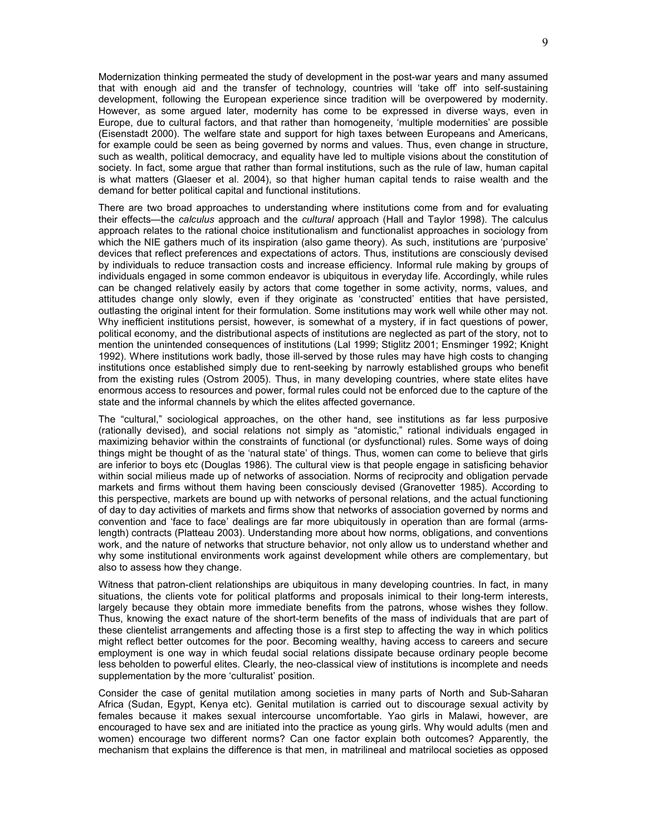Modernization thinking permeated the study of development in the post-war years and many assumed that with enough aid and the transfer of technology, countries will 'take off' into self-sustaining development, following the European experience since tradition will be overpowered by modernity. However, as some argued later, modernity has come to be expressed in diverse ways, even in Europe, due to cultural factors, and that rather than homogeneity, 'multiple modernities' are possible (Eisenstadt 2000). The welfare state and support for high taxes between Europeans and Americans, for example could be seen as being governed by norms and values. Thus, even change in structure, such as wealth, political democracy, and equality have led to multiple visions about the constitution of society. In fact, some argue that rather than formal institutions, such as the rule of law, human capital is what matters (Glaeser et al. 2004), so that higher human capital tends to raise wealth and the demand for better political capital and functional institutions.

There are two broad approaches to understanding where institutions come from and for evaluating their effects—the *calculus* approach and the *cultural* approach (Hall and Taylor 1998). The calculus approach relates to the rational choice institutionalism and functionalist approaches in sociology from which the NIE gathers much of its inspiration (also game theory). As such, institutions are 'purposive' devices that reflect preferences and expectations of actors. Thus, institutions are consciously devised by individuals to reduce transaction costs and increase efficiency. Informal rule making by groups of individuals engaged in some common endeavor is ubiquitous in everyday life. Accordingly, while rules can be changed relatively easily by actors that come together in some activity, norms, values, and attitudes change only slowly, even if they originate as 'constructed' entities that have persisted, outlasting the original intent for their formulation. Some institutions may work well while other may not. Why inefficient institutions persist, however, is somewhat of a mystery, if in fact questions of power, political economy, and the distributional aspects of institutions are neglected as part of the story, not to mention the unintended consequences of institutions (Lal 1999; Stiglitz 2001; Ensminger 1992; Knight 1992). Where institutions work badly, those ill-served by those rules may have high costs to changing institutions once established simply due to rent-seeking by narrowly established groups who benefit from the existing rules (Ostrom 2005). Thus, in many developing countries, where state elites have enormous access to resources and power, formal rules could not be enforced due to the capture of the state and the informal channels by which the elites affected governance.

The "cultural," sociological approaches, on the other hand, see institutions as far less purposive (rationally devised), and social relations not simply as "atomistic," rational individuals engaged in maximizing behavior within the constraints of functional (or dysfunctional) rules. Some ways of doing things might be thought of as the 'natural state' of things. Thus, women can come to believe that girls are inferior to boys etc (Douglas 1986). The cultural view is that people engage in satisficing behavior within social milieus made up of networks of association. Norms of reciprocity and obligation pervade markets and firms without them having been consciously devised (Granovetter 1985). According to this perspective, markets are bound up with networks of personal relations, and the actual functioning of day to day activities of markets and firms show that networks of association governed by norms and convention and 'face to face' dealings are far more ubiquitously in operation than are formal (armslength) contracts (Platteau 2003). Understanding more about how norms, obligations, and conventions work, and the nature of networks that structure behavior, not only allow us to understand whether and why some institutional environments work against development while others are complementary, but also to assess how they change.

Witness that patron-client relationships are ubiquitous in many developing countries. In fact, in many situations, the clients vote for political platforms and proposals inimical to their long-term interests, largely because they obtain more immediate benefits from the patrons, whose wishes they follow. Thus, knowing the exact nature of the short-term benefits of the mass of individuals that are part of these clientelist arrangements and affecting those is a first step to affecting the way in which politics might reflect better outcomes for the poor. Becoming wealthy, having access to careers and secure employment is one way in which feudal social relations dissipate because ordinary people become less beholden to powerful elites. Clearly, the neo-classical view of institutions is incomplete and needs supplementation by the more 'culturalist' position.

Consider the case of genital mutilation among societies in many parts of North and Sub-Saharan Africa (Sudan, Egypt, Kenya etc). Genital mutilation is carried out to discourage sexual activity by females because it makes sexual intercourse uncomfortable. Yao girls in Malawi, however, are encouraged to have sex and are initiated into the practice as young girls. Why would adults (men and women) encourage two different norms? Can one factor explain both outcomes? Apparently, the mechanism that explains the difference is that men, in matrilineal and matrilocal societies as opposed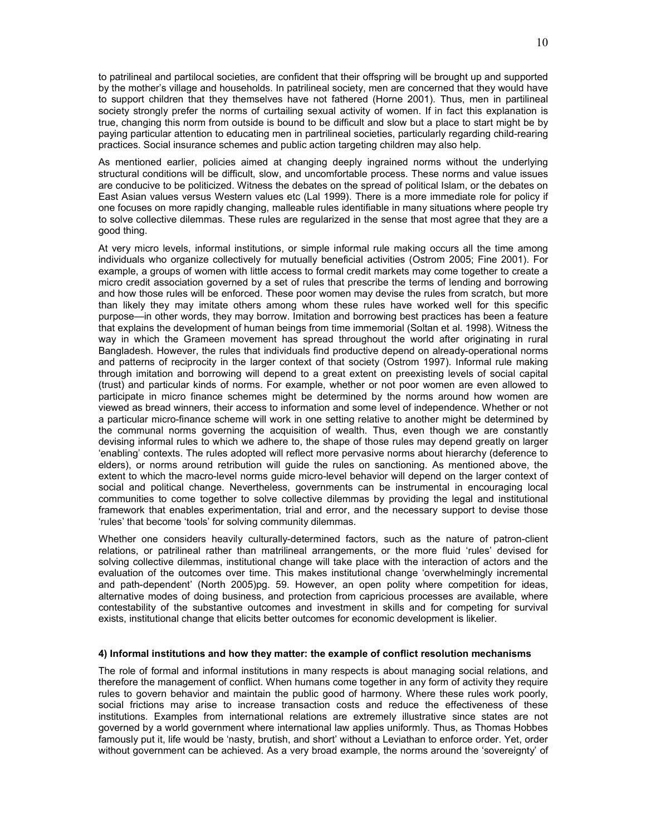to patrilineal and partilocal societies, are confident that their offspring will be brought up and supported by the mother's village and households. In patrilineal society, men are concerned that they would have to support children that they themselves have not fathered (Horne 2001). Thus, men in partilineal society strongly prefer the norms of curtailing sexual activity of women. If in fact this explanation is true, changing this norm from outside is bound to be difficult and slow but a place to start might be by paying particular attention to educating men in partrilineal societies, particularly regarding child-rearing practices. Social insurance schemes and public action targeting children may also help.

As mentioned earlier, policies aimed at changing deeply ingrained norms without the underlying structural conditions will be difficult, slow, and uncomfortable process. These norms and value issues are conducive to be politicized. Witness the debates on the spread of political Islam, or the debates on East Asian values versus Western values etc (Lal 1999). There is a more immediate role for policy if one focuses on more rapidly changing, malleable rules identifiable in many situations where people try to solve collective dilemmas. These rules are regularized in the sense that most agree that they are a good thing.

At very micro levels, informal institutions, or simple informal rule making occurs all the time among individuals who organize collectively for mutually beneficial activities (Ostrom 2005; Fine 2001). For example, a groups of women with little access to formal credit markets may come together to create a micro credit association governed by a set of rules that prescribe the terms of lending and borrowing and how those rules will be enforced. These poor women may devise the rules from scratch, but more than likely they may imitate others among whom these rules have worked well for this specific purpose—in other words, they may borrow. Imitation and borrowing best practices has been a feature that explains the development of human beings from time immemorial (Soltan et al. 1998). Witness the way in which the Grameen movement has spread throughout the world after originating in rural Bangladesh. However, the rules that individuals find productive depend on already-operational norms and patterns of reciprocity in the larger context of that society (Ostrom 1997). Informal rule making through imitation and borrowing will depend to a great extent on preexisting levels of social capital (trust) and particular kinds of norms. For example, whether or not poor women are even allowed to participate in micro finance schemes might be determined by the norms around how women are viewed as bread winners, their access to information and some level of independence. Whether or not a particular micro-finance scheme will work in one setting relative to another might be determined by the communal norms governing the acquisition of wealth. Thus, even though we are constantly devising informal rules to which we adhere to, the shape of those rules may depend greatly on larger 'enabling' contexts. The rules adopted will reflect more pervasive norms about hierarchy (deference to elders), or norms around retribution will guide the rules on sanctioning. As mentioned above, the extent to which the macro-level norms guide micro-level behavior will depend on the larger context of social and political change. Nevertheless, governments can be instrumental in encouraging local communities to come together to solve collective dilemmas by providing the legal and institutional framework that enables experimentation, trial and error, and the necessary support to devise those 'rules' that become 'tools' for solving community dilemmas.

Whether one considers heavily culturally-determined factors, such as the nature of patron-client relations, or patrilineal rather than matrilineal arrangements, or the more fluid 'rules' devised for solving collective dilemmas, institutional change will take place with the interaction of actors and the evaluation of the outcomes over time. This makes institutional change 'overwhelmingly incremental and path-dependent' (North 2005)pg. 59. However, an open polity where competition for ideas, alternative modes of doing business, and protection from capricious processes are available, where contestability of the substantive outcomes and investment in skills and for competing for survival exists, institutional change that elicits better outcomes for economic development is likelier.

#### **4) Informal institutions and how they matter: the example of conflict resolution mechanisms**

The role of formal and informal institutions in many respects is about managing social relations, and therefore the management of conflict. When humans come together in any form of activity they require rules to govern behavior and maintain the public good of harmony. Where these rules work poorly, social frictions may arise to increase transaction costs and reduce the effectiveness of these institutions. Examples from international relations are extremely illustrative since states are not governed by a world government where international law applies uniformly. Thus, as Thomas Hobbes famously put it, life would be 'nasty, brutish, and short' without a Leviathan to enforce order. Yet, order without government can be achieved. As a very broad example, the norms around the 'sovereignty' of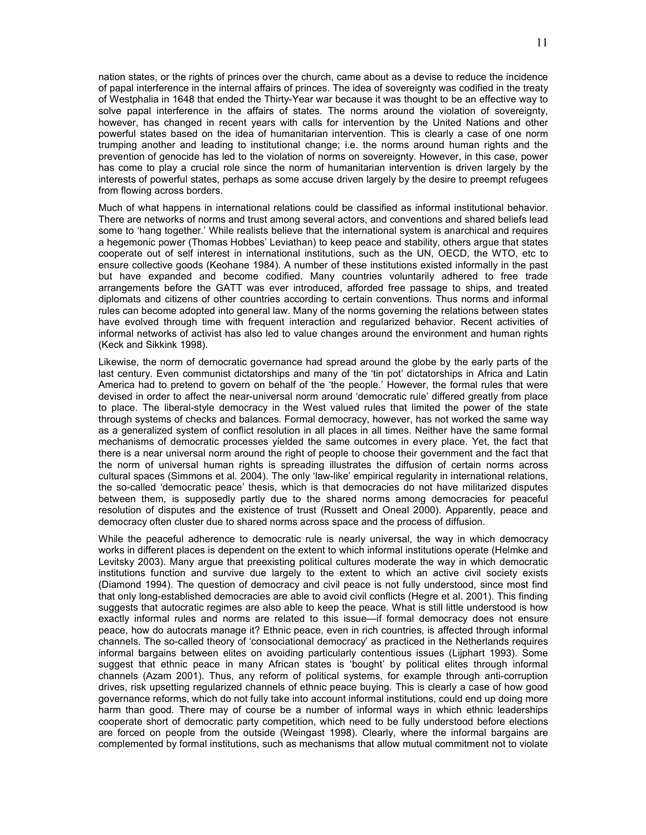nation states, or the rights of princes over the church, came about as a devise to reduce the incidence of papal interference in the internal affairs of princes. The idea of sovereignty was codified in the treaty of Westphalia in 1648 that ended the Thirty-Year war because it was thought to be an effective way to solve papal interference in the affairs of states. The norms around the violation of sovereignty, however, has changed in recent years with calls for intervention by the United Nations and other powerful states based on the idea of humanitarian intervention. This is clearly a case of one norm trumping another and leading to institutional change; i.e. the norms around human rights and the prevention of genocide has led to the violation of norms on sovereignty. However, in this case, power has come to play a crucial role since the norm of humanitarian intervention is driven largely by the interests of powerful states, perhaps as some accuse driven largely by the desire to preempt refugees from flowing across borders.

Much of what happens in international relations could be classified as informal institutional behavior. There are networks of norms and trust among several actors, and conventions and shared beliefs lead some to 'hang together.' While realists believe that the international system is anarchical and requires a hegemonic power (Thomas Hobbes' Leviathan) to keep peace and stability, others argue that states cooperate out of self interest in international institutions, such as the UN, OECD, the WTO, etc to ensure collective goods (Keohane 1984). A number of these institutions existed informally in the past but have expanded and become codified. Many countries voluntarily adhered to free trade arrangements before the GATT was ever introduced, afforded free passage to ships, and treated diplomats and citizens of other countries according to certain conventions. Thus norms and informal rules can become adopted into general law. Many of the norms governing the relations between states have evolved through time with frequent interaction and regularized behavior. Recent activities of informal networks of activist has also led to value changes around the environment and human rights (Keck and Sikkink 1998).

Likewise, the norm of democratic governance had spread around the globe by the early parts of the last century. Even communist dictatorships and many of the 'tin pot' dictatorships in Africa and Latin America had to pretend to govern on behalf of the 'the people.' However, the formal rules that were devised in order to affect the near-universal norm around 'democratic rule' differed greatly from place to place. The liberal-style democracy in the West valued rules that limited the power of the state through systems of checks and balances. Formal democracy, however, has not worked the same way as a generalized system of conflict resolution in all places in all times. Neither have the same formal mechanisms of democratic processes yielded the same outcomes in every place. Yet, the fact that there is a near universal norm around the right of people to choose their government and the fact that the norm of universal human rights is spreading illustrates the diffusion of certain norms across cultural spaces (Simmons et al. 2004). The only 'law-like' empirical regularity in international relations, the so-called 'democratic peace' thesis, which is that democracies do not have militarized disputes between them, is supposedly partly due to the shared norms among democracies for peaceful resolution of disputes and the existence of trust (Russett and Oneal 2000). Apparently, peace and democracy often cluster due to shared norms across space and the process of diffusion.

While the peaceful adherence to democratic rule is nearly universal, the way in which democracy works in different places is dependent on the extent to which informal institutions operate (Helmke and Levitsky 2003). Many argue that preexisting political cultures moderate the way in which democratic institutions function and survive due largely to the extent to which an active civil society exists (Diamond 1994). The question of democracy and civil peace is not fully understood, since most find that only long-established democracies are able to avoid civil conflicts (Hegre et al. 2001). This finding suggests that autocratic regimes are also able to keep the peace. What is still little understood is how exactly informal rules and norms are related to this issue—if formal democracy does not ensure peace, how do autocrats manage it? Ethnic peace, even in rich countries, is affected through informal channels. The so-called theory of 'consociational democracy' as practiced in the Netherlands requires informal bargains between elites on avoiding particularly contentious issues (Lijphart 1993). Some suggest that ethnic peace in many African states is 'bought' by political elites through informal channels (Azam 2001). Thus, any reform of political systems, for example through anti-corruption drives, risk upsetting regularized channels of ethnic peace buying. This is clearly a case of how good governance reforms, which do not fully take into account informal institutions, could end up doing more harm than good. There may of course be a number of informal ways in which ethnic leaderships cooperate short of democratic party competition, which need to be fully understood before elections are forced on people from the outside (Weingast 1998). Clearly, where the informal bargains are complemented by formal institutions, such as mechanisms that allow mutual commitment not to violate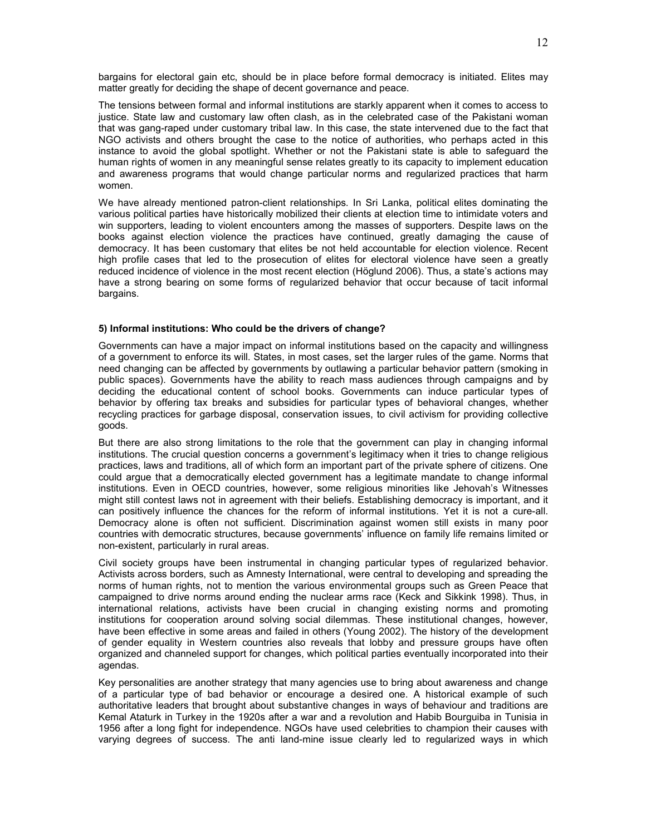bargains for electoral gain etc, should be in place before formal democracy is initiated. Elites may matter greatly for deciding the shape of decent governance and peace.

The tensions between formal and informal institutions are starkly apparent when it comes to access to justice. State law and customary law often clash, as in the celebrated case of the Pakistani woman that was gang-raped under customary tribal law. In this case, the state intervened due to the fact that NGO activists and others brought the case to the notice of authorities, who perhaps acted in this instance to avoid the global spotlight. Whether or not the Pakistani state is able to safeguard the human rights of women in any meaningful sense relates greatly to its capacity to implement education and awareness programs that would change particular norms and regularized practices that harm women.

We have already mentioned patron-client relationships. In Sri Lanka, political elites dominating the various political parties have historically mobilized their clients at election time to intimidate voters and win supporters, leading to violent encounters among the masses of supporters. Despite laws on the books against election violence the practices have continued, greatly damaging the cause of democracy. It has been customary that elites be not held accountable for election violence. Recent high profile cases that led to the prosecution of elites for electoral violence have seen a greatly reduced incidence of violence in the most recent election (Höglund 2006). Thus, a state's actions may have a strong bearing on some forms of regularized behavior that occur because of tacit informal bargains.

#### **5) Informal institutions: Who could be the drivers of change?**

Governments can have a major impact on informal institutions based on the capacity and willingness of a government to enforce its will. States, in most cases, set the larger rules of the game. Norms that need changing can be affected by governments by outlawing a particular behavior pattern (smoking in public spaces). Governments have the ability to reach mass audiences through campaigns and by deciding the educational content of school books. Governments can induce particular types of behavior by offering tax breaks and subsidies for particular types of behavioral changes, whether recycling practices for garbage disposal, conservation issues, to civil activism for providing collective goods.

But there are also strong limitations to the role that the government can play in changing informal institutions. The crucial question concerns a government's legitimacy when it tries to change religious practices, laws and traditions, all of which form an important part of the private sphere of citizens. One could argue that a democratically elected government has a legitimate mandate to change informal institutions. Even in OECD countries, however, some religious minorities like Jehovah's Witnesses might still contest laws not in agreement with their beliefs. Establishing democracy is important, and it can positively influence the chances for the reform of informal institutions. Yet it is not a cure-all. Democracy alone is often not sufficient. Discrimination against women still exists in many poor countries with democratic structures, because governments' influence on family life remains limited or non-existent, particularly in rural areas.

Civil society groups have been instrumental in changing particular types of regularized behavior. Activists across borders, such as Amnesty International, were central to developing and spreading the norms of human rights, not to mention the various environmental groups such as Green Peace that campaigned to drive norms around ending the nuclear arms race (Keck and Sikkink 1998). Thus, in international relations, activists have been crucial in changing existing norms and promoting institutions for cooperation around solving social dilemmas. These institutional changes, however, have been effective in some areas and failed in others (Young 2002). The history of the development of gender equality in Western countries also reveals that lobby and pressure groups have often organized and channeled support for changes, which political parties eventually incorporated into their agendas.

Key personalities are another strategy that many agencies use to bring about awareness and change of a particular type of bad behavior or encourage a desired one. A historical example of such authoritative leaders that brought about substantive changes in ways of behaviour and traditions are Kemal Ataturk in Turkey in the 1920s after a war and a revolution and Habib Bourguiba in Tunisia in 1956 after a long fight for independence. NGOs have used celebrities to champion their causes with varying degrees of success. The anti land-mine issue clearly led to regularized ways in which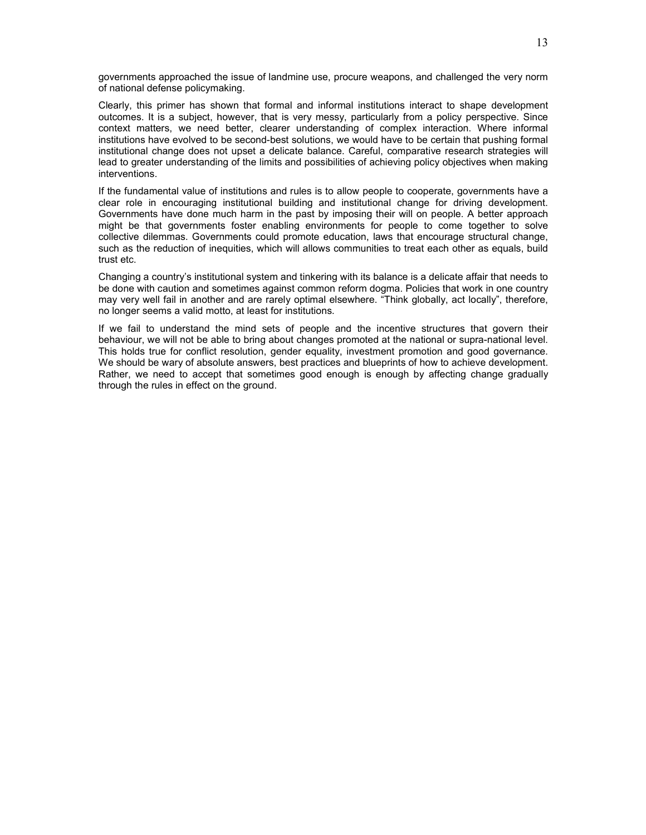governments approached the issue of landmine use, procure weapons, and challenged the very norm of national defense policymaking.

Clearly, this primer has shown that formal and informal institutions interact to shape development outcomes. It is a subject, however, that is very messy, particularly from a policy perspective. Since context matters, we need better, clearer understanding of complex interaction. Where informal institutions have evolved to be second-best solutions, we would have to be certain that pushing formal institutional change does not upset a delicate balance. Careful, comparative research strategies will lead to greater understanding of the limits and possibilities of achieving policy objectives when making interventions.

If the fundamental value of institutions and rules is to allow people to cooperate, governments have a clear role in encouraging institutional building and institutional change for driving development. Governments have done much harm in the past by imposing their will on people. A better approach might be that governments foster enabling environments for people to come together to solve collective dilemmas. Governments could promote education, laws that encourage structural change, such as the reduction of inequities, which will allows communities to treat each other as equals, build trust etc.

Changing a country's institutional system and tinkering with its balance is a delicate affair that needs to be done with caution and sometimes against common reform dogma. Policies that work in one country may very well fail in another and are rarely optimal elsewhere. "Think globally, act locally", therefore, no longer seems a valid motto, at least for institutions.

If we fail to understand the mind sets of people and the incentive structures that govern their behaviour, we will not be able to bring about changes promoted at the national or supra-national level. This holds true for conflict resolution, gender equality, investment promotion and good governance. We should be wary of absolute answers, best practices and blueprints of how to achieve development. Rather, we need to accept that sometimes good enough is enough by affecting change gradually through the rules in effect on the ground.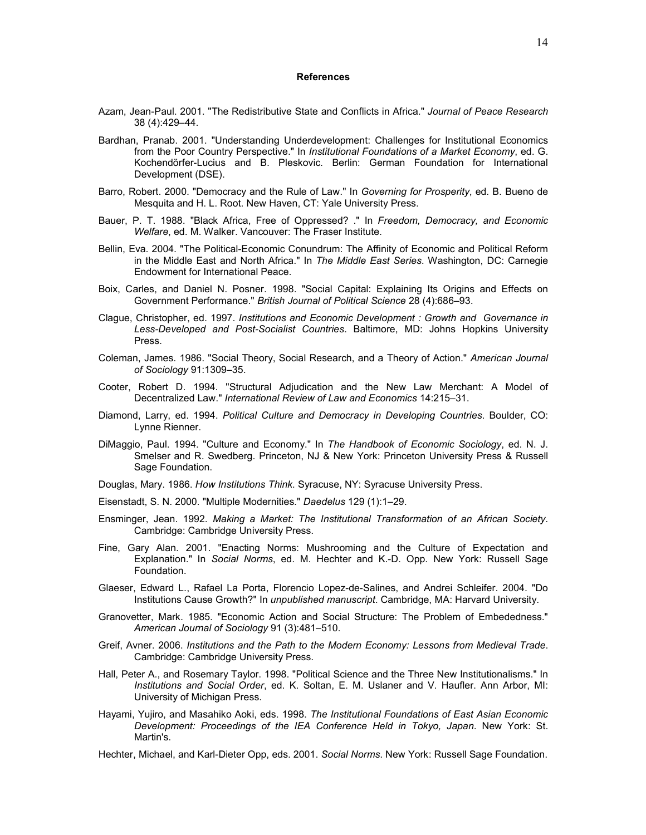#### **References**

- Azam, Jean-Paul. 2001. "The Redistributive State and Conflicts in Africa." *Journal of Peace Research* 38 (4):429–44.
- Bardhan, Pranab. 2001. "Understanding Underdevelopment: Challenges for Institutional Economics from the Poor Country Perspective." In *Institutional Foundations of a Market Economy*, ed. G. Kochendörfer-Lucius and B. Pleskovic. Berlin: German Foundation for International Development (DSE).
- Barro, Robert. 2000. "Democracy and the Rule of Law." In *Governing for Prosperity*, ed. B. Bueno de Mesquita and H. L. Root. New Haven, CT: Yale University Press.
- Bauer, P. T. 1988. "Black Africa, Free of Oppressed? ." In *Freedom, Democracy, and Economic Welfare*, ed. M. Walker. Vancouver: The Fraser Institute.
- Bellin, Eva. 2004. "The Political-Economic Conundrum: The Affinity of Economic and Political Reform in the Middle East and North Africa." In *The Middle East Series*. Washington, DC: Carnegie Endowment for International Peace.
- Boix, Carles, and Daniel N. Posner. 1998. "Social Capital: Explaining Its Origins and Effects on Government Performance." *British Journal of Political Science* 28 (4):686–93.
- Clague, Christopher, ed. 1997. *Institutions and Economic Development : Growth and Governance in Less-Developed and Post-Socialist Countries*. Baltimore, MD: Johns Hopkins University Press.
- Coleman, James. 1986. "Social Theory, Social Research, and a Theory of Action." *American Journal of Sociology* 91:1309–35.
- Cooter, Robert D. 1994. "Structural Adjudication and the New Law Merchant: A Model of Decentralized Law." *International Review of Law and Economics* 14:215–31.
- Diamond, Larry, ed. 1994. *Political Culture and Democracy in Developing Countries*. Boulder, CO: Lynne Rienner.
- DiMaggio, Paul. 1994. "Culture and Economy." In *The Handbook of Economic Sociology*, ed. N. J. Smelser and R. Swedberg. Princeton, NJ & New York: Princeton University Press & Russell Sage Foundation.
- Douglas, Mary. 1986. *How Institutions Think*. Syracuse, NY: Syracuse University Press.
- Eisenstadt, S. N. 2000. "Multiple Modernities." *Daedelus* 129 (1):1–29.
- Ensminger, Jean. 1992. *Making a Market: The Institutional Transformation of an African Society*. Cambridge: Cambridge University Press.
- Fine, Gary Alan. 2001. "Enacting Norms: Mushrooming and the Culture of Expectation and Explanation." In *Social Norms*, ed. M. Hechter and K.-D. Opp. New York: Russell Sage Foundation.
- Glaeser, Edward L., Rafael La Porta, Florencio Lopez-de-Salines, and Andrei Schleifer. 2004. "Do Institutions Cause Growth?" In *unpublished manuscript*. Cambridge, MA: Harvard University.
- Granovetter, Mark. 1985. "Economic Action and Social Structure: The Problem of Embededness." *American Journal of Sociology* 91 (3):481–510.
- Greif, Avner. 2006. *Institutions and the Path to the Modern Economy: Lessons from Medieval Trade*. Cambridge: Cambridge University Press.
- Hall, Peter A., and Rosemary Taylor. 1998. "Political Science and the Three New Institutionalisms." In *Institutions and Social Order*, ed. K. Soltan, E. M. Uslaner and V. Haufler. Ann Arbor, MI: University of Michigan Press.
- Hayami, Yujiro, and Masahiko Aoki, eds. 1998. *The Institutional Foundations of East Asian Economic Development: Proceedings of the IEA Conference Held in Tokyo, Japan*. New York: St. Martin's.
- Hechter, Michael, and Karl-Dieter Opp, eds. 2001. *Social Norms*. New York: Russell Sage Foundation.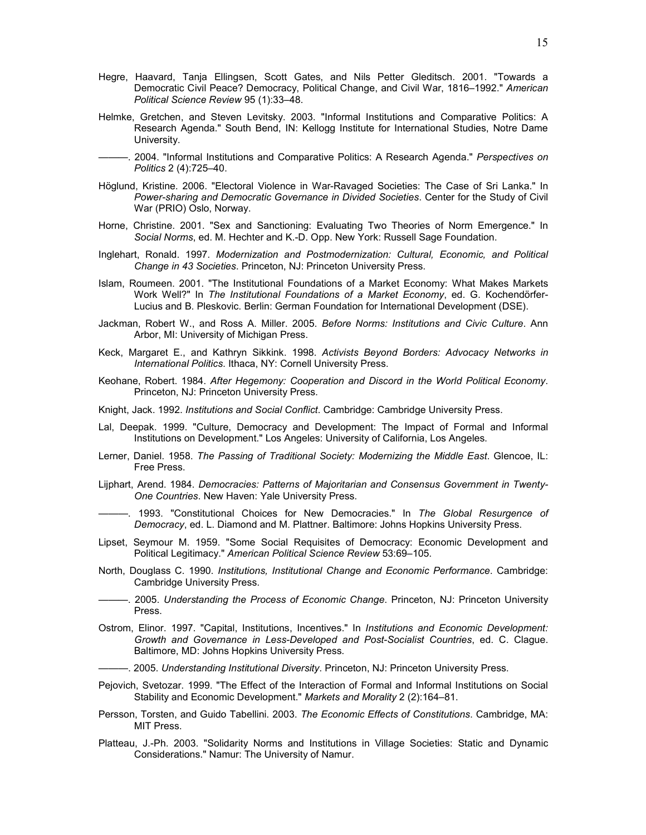- Hegre, Haavard, Tanja Ellingsen, Scott Gates, and Nils Petter Gleditsch. 2001. "Towards a Democratic Civil Peace? Democracy, Political Change, and Civil War, 1816–1992." *American Political Science Review* 95 (1):33–48.
- Helmke, Gretchen, and Steven Levitsky. 2003. "Informal Institutions and Comparative Politics: A Research Agenda." South Bend, IN: Kellogg Institute for International Studies, Notre Dame University.
- ———. 2004. "Informal Institutions and Comparative Politics: A Research Agenda." *Perspectives on Politics* 2 (4):725–40.
- Höglund, Kristine. 2006. "Electoral Violence in War-Ravaged Societies: The Case of Sri Lanka." In *Power-sharing and Democratic Governance in Divided Societies*. Center for the Study of Civil War (PRIO) Oslo, Norway.
- Horne, Christine. 2001. "Sex and Sanctioning: Evaluating Two Theories of Norm Emergence." In *Social Norms*, ed. M. Hechter and K.-D. Opp. New York: Russell Sage Foundation.
- Inglehart, Ronald. 1997. *Modernization and Postmodernization: Cultural, Economic, and Political Change in 43 Societies*. Princeton, NJ: Princeton University Press.
- Islam, Roumeen. 2001. "The Institutional Foundations of a Market Economy: What Makes Markets Work Well?" In *The Institutional Foundations of a Market Economy*, ed. G. Kochendörfer-Lucius and B. Pleskovic. Berlin: German Foundation for International Development (DSE).
- Jackman, Robert W., and Ross A. Miller. 2005. *Before Norms: Institutions and Civic Culture*. Ann Arbor, MI: University of Michigan Press.
- Keck, Margaret E., and Kathryn Sikkink. 1998. *Activists Beyond Borders: Advocacy Networks in International Politics*. Ithaca, NY: Cornell University Press.
- Keohane, Robert. 1984. *After Hegemony: Cooperation and Discord in the World Political Economy*. Princeton, NJ: Princeton University Press.
- Knight, Jack. 1992. *Institutions and Social Conflict*. Cambridge: Cambridge University Press.
- Lal, Deepak. 1999. "Culture, Democracy and Development: The Impact of Formal and Informal Institutions on Development." Los Angeles: University of California, Los Angeles.
- Lerner, Daniel. 1958. *The Passing of Traditional Society: Modernizing the Middle East*. Glencoe, IL: Free Press.
- Lijphart, Arend. 1984. *Democracies: Patterns of Majoritarian and Consensus Government in Twenty-One Countries*. New Haven: Yale University Press.
- ———. 1993. "Constitutional Choices for New Democracies." In *The Global Resurgence of Democracy*, ed. L. Diamond and M. Plattner. Baltimore: Johns Hopkins University Press.
- Lipset, Seymour M. 1959. "Some Social Requisites of Democracy: Economic Development and Political Legitimacy." *American Political Science Review* 53:69–105.
- North, Douglass C. 1990. *Institutions, Institutional Change and Economic Performance*. Cambridge: Cambridge University Press.
- ———. 2005. *Understanding the Process of Economic Change*. Princeton, NJ: Princeton University Press.
- Ostrom, Elinor. 1997. "Capital, Institutions, Incentives." In *Institutions and Economic Development: Growth and Governance in Less-Developed and Post-Socialist Countries*, ed. C. Clague. Baltimore, MD: Johns Hopkins University Press.
- ———. 2005. *Understanding Institutional Diversity*. Princeton, NJ: Princeton University Press.
- Pejovich, Svetozar. 1999. "The Effect of the Interaction of Formal and Informal Institutions on Social Stability and Economic Development." *Markets and Morality* 2 (2):164–81.
- Persson, Torsten, and Guido Tabellini. 2003. *The Economic Effects of Constitutions*. Cambridge, MA: MIT Press.
- Platteau, J.-Ph. 2003. "Solidarity Norms and Institutions in Village Societies: Static and Dynamic Considerations." Namur: The University of Namur.